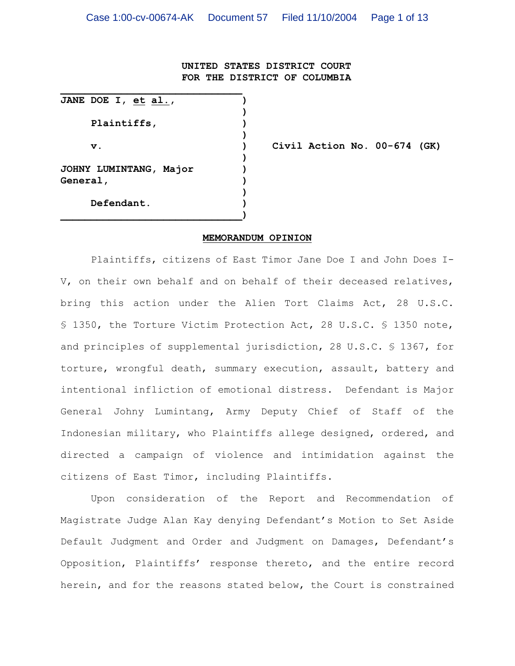### **UNITED STATES DISTRICT COURT FOR THE DISTRICT OF COLUMBIA**

**JANE DOE I, et al., ) ) Plaintiffs, ) ) ) JOHNY LUMINTANG, Major ) General, ) ) Defendant. ) \_\_\_\_\_\_\_\_\_\_\_\_\_\_\_\_\_\_\_\_\_\_\_\_\_\_\_\_\_\_)**

**\_\_\_\_\_\_\_\_\_\_\_\_\_\_\_\_\_\_\_\_\_\_\_\_\_\_\_\_\_\_**

**v. ) Civil Action No. 00-674 (GK)**

#### **MEMORANDUM OPINION**

Plaintiffs, citizens of East Timor Jane Doe I and John Does I-V, on their own behalf and on behalf of their deceased relatives, bring this action under the Alien Tort Claims Act, 28 U.S.C. § 1350, the Torture Victim Protection Act, 28 U.S.C. § 1350 note, and principles of supplemental jurisdiction, 28 U.S.C. § 1367, for torture, wrongful death, summary execution, assault, battery and intentional infliction of emotional distress. Defendant is Major General Johny Lumintang, Army Deputy Chief of Staff of the Indonesian military, who Plaintiffs allege designed, ordered, and directed a campaign of violence and intimidation against the citizens of East Timor, including Plaintiffs.

Upon consideration of the Report and Recommendation of Magistrate Judge Alan Kay denying Defendant's Motion to Set Aside Default Judgment and Order and Judgment on Damages, Defendant's Opposition, Plaintiffs' response thereto, and the entire record herein, and for the reasons stated below, the Court is constrained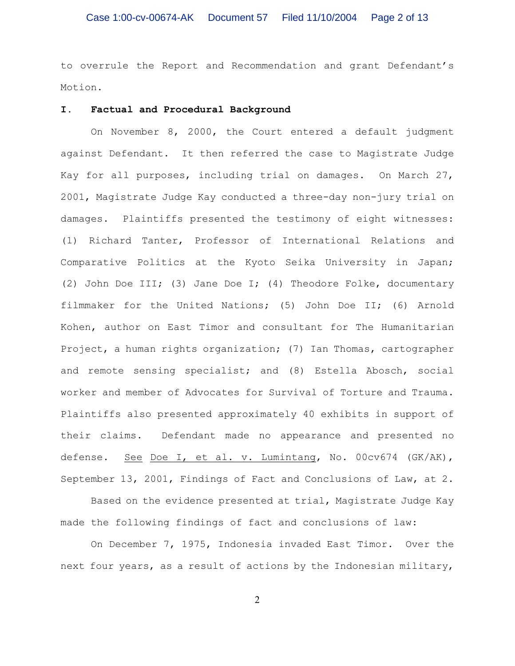to overrule the Report and Recommendation and grant Defendant's Motion.

#### **I. Factual and Procedural Background**

On November 8, 2000, the Court entered a default judgment against Defendant. It then referred the case to Magistrate Judge Kay for all purposes, including trial on damages. On March 27, 2001, Magistrate Judge Kay conducted a three-day non-jury trial on damages. Plaintiffs presented the testimony of eight witnesses: (1) Richard Tanter, Professor of International Relations and Comparative Politics at the Kyoto Seika University in Japan; (2) John Doe III; (3) Jane Doe I; (4) Theodore Folke, documentary filmmaker for the United Nations; (5) John Doe II; (6) Arnold Kohen, author on East Timor and consultant for The Humanitarian Project, a human rights organization; (7) Ian Thomas, cartographer and remote sensing specialist; and (8) Estella Abosch, social worker and member of Advocates for Survival of Torture and Trauma. Plaintiffs also presented approximately 40 exhibits in support of their claims. Defendant made no appearance and presented no defense. See Doe I, et al. v. Lumintang, No. 00cv674 (GK/AK), September 13, 2001, Findings of Fact and Conclusions of Law, at 2.

Based on the evidence presented at trial, Magistrate Judge Kay made the following findings of fact and conclusions of law:

On December 7, 1975, Indonesia invaded East Timor. Over the next four years, as a result of actions by the Indonesian military,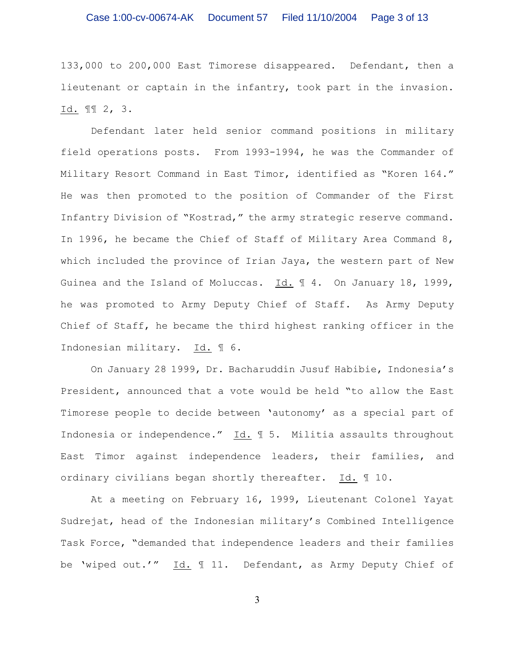133,000 to 200,000 East Timorese disappeared. Defendant, then a lieutenant or captain in the infantry, took part in the invasion. Id. ¶¶ 2, 3.

Defendant later held senior command positions in military field operations posts. From 1993-1994, he was the Commander of Military Resort Command in East Timor, identified as "Koren 164." He was then promoted to the position of Commander of the First Infantry Division of "Kostrad," the army strategic reserve command. In 1996, he became the Chief of Staff of Military Area Command 8, which included the province of Irian Jaya, the western part of New Guinea and the Island of Moluccas. Id. ¶ 4. On January 18, 1999, he was promoted to Army Deputy Chief of Staff. As Army Deputy Chief of Staff, he became the third highest ranking officer in the Indonesian military. Id. ¶ 6.

On January 28 1999, Dr. Bacharuddin Jusuf Habibie, Indonesia's President, announced that a vote would be held "to allow the East Timorese people to decide between 'autonomy' as a special part of Indonesia or independence." Id. ¶ 5. Militia assaults throughout East Timor against independence leaders, their families, and ordinary civilians began shortly thereafter. Id. ¶ 10.

At a meeting on February 16, 1999, Lieutenant Colonel Yayat Sudrejat, head of the Indonesian military's Combined Intelligence Task Force, "demanded that independence leaders and their families be 'wiped out.'" Id. ¶ 11. Defendant, as Army Deputy Chief of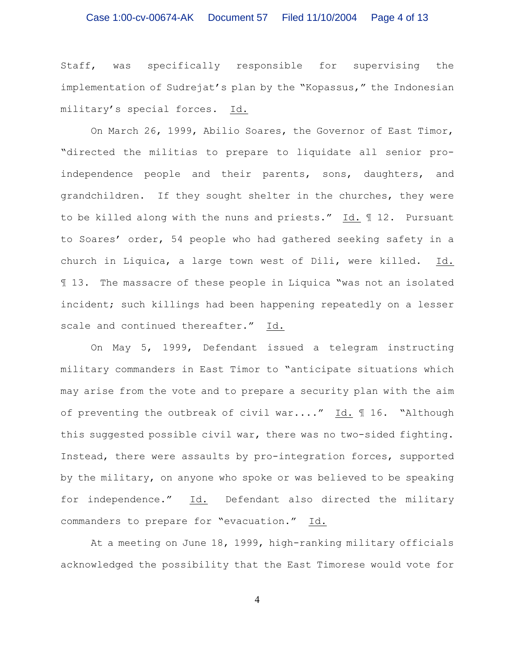# Case 1:00-cv-00674-AK Document 57 Filed 11/10/2004 Page 4 of 13

Staff, was specifically responsible for supervising the implementation of Sudrejat's plan by the "Kopassus," the Indonesian military's special forces. Id.

On March 26, 1999, Abilio Soares, the Governor of East Timor, "directed the militias to prepare to liquidate all senior proindependence people and their parents, sons, daughters, and grandchildren. If they sought shelter in the churches, they were to be killed along with the nuns and priests." Id. ¶ 12. Pursuant to Soares' order, 54 people who had gathered seeking safety in a church in Liquica, a large town west of Dili, were killed. Id. ¶ 13. The massacre of these people in Liquica "was not an isolated incident; such killings had been happening repeatedly on a lesser scale and continued thereafter." Id.

On May 5, 1999, Defendant issued a telegram instructing military commanders in East Timor to "anticipate situations which may arise from the vote and to prepare a security plan with the aim of preventing the outbreak of civil war...."  $\underline{Id.}$  16. "Although this suggested possible civil war, there was no two-sided fighting. Instead, there were assaults by pro-integration forces, supported by the military, on anyone who spoke or was believed to be speaking for independence." Id. Defendant also directed the military commanders to prepare for "evacuation." Id.

At a meeting on June 18, 1999, high-ranking military officials acknowledged the possibility that the East Timorese would vote for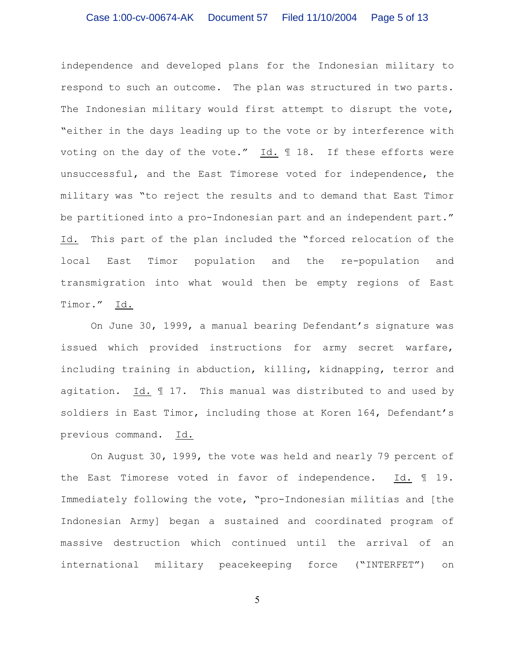# Case 1:00-cv-00674-AK Document 57 Filed 11/10/2004 Page 5 of 13

independence and developed plans for the Indonesian military to respond to such an outcome. The plan was structured in two parts. The Indonesian military would first attempt to disrupt the vote, "either in the days leading up to the vote or by interference with voting on the day of the vote."  $Id. \nI. 18.$  If these efforts were unsuccessful, and the East Timorese voted for independence, the military was "to reject the results and to demand that East Timor be partitioned into a pro-Indonesian part and an independent part." Id. This part of the plan included the "forced relocation of the local East Timor population and the re-population and transmigration into what would then be empty regions of East Timor." Id.

On June 30, 1999, a manual bearing Defendant's signature was issued which provided instructions for army secret warfare, including training in abduction, killing, kidnapping, terror and agitation. Id. ¶ 17. This manual was distributed to and used by soldiers in East Timor, including those at Koren 164, Defendant's previous command. Id.

On August 30, 1999, the vote was held and nearly 79 percent of the East Timorese voted in favor of independence. Id. ¶ 19. Immediately following the vote, "pro-Indonesian militias and [the Indonesian Army] began a sustained and coordinated program of massive destruction which continued until the arrival of an international military peacekeeping force ("INTERFET") on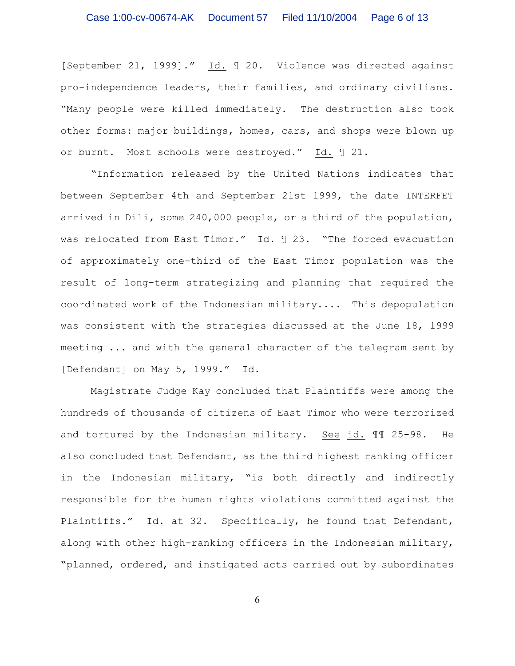[September 21, 1999]." Id. ¶ 20. Violence was directed against pro-independence leaders, their families, and ordinary civilians. "Many people were killed immediately. The destruction also took other forms: major buildings, homes, cars, and shops were blown up or burnt. Most schools were destroyed." Id. 121.

"Information released by the United Nations indicates that between September 4th and September 21st 1999, the date INTERFET arrived in Dili, some 240,000 people, or a third of the population, was relocated from East Timor." Id. 1 23. "The forced evacuation of approximately one-third of the East Timor population was the result of long-term strategizing and planning that required the coordinated work of the Indonesian military.... This depopulation was consistent with the strategies discussed at the June 18, 1999 meeting ... and with the general character of the telegram sent by [Defendant] on May 5, 1999." Id.

Magistrate Judge Kay concluded that Plaintiffs were among the hundreds of thousands of citizens of East Timor who were terrorized and tortured by the Indonesian military. See id. ¶¶ 25-98. He also concluded that Defendant, as the third highest ranking officer in the Indonesian military, "is both directly and indirectly responsible for the human rights violations committed against the Plaintiffs." Id. at 32. Specifically, he found that Defendant, along with other high-ranking officers in the Indonesian military, "planned, ordered, and instigated acts carried out by subordinates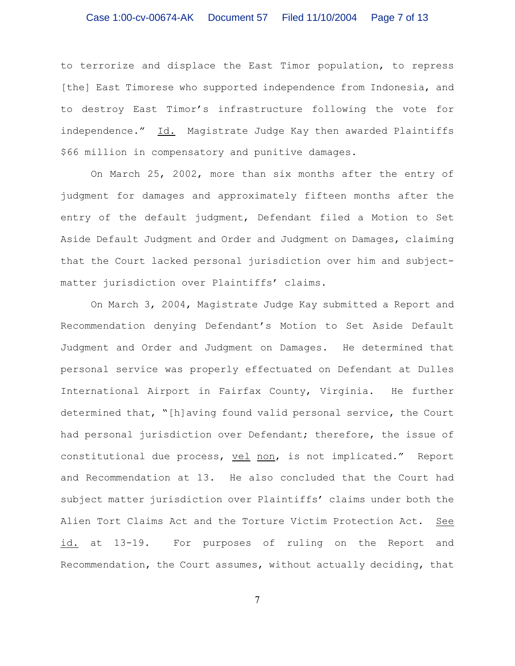# Case 1:00-cv-00674-AK Document 57 Filed 11/10/2004 Page 7 of 13

to terrorize and displace the East Timor population, to repress [the] East Timorese who supported independence from Indonesia, and to destroy East Timor's infrastructure following the vote for independence." Id. Magistrate Judge Kay then awarded Plaintiffs \$66 million in compensatory and punitive damages.

On March 25, 2002, more than six months after the entry of judgment for damages and approximately fifteen months after the entry of the default judgment, Defendant filed a Motion to Set Aside Default Judgment and Order and Judgment on Damages, claiming that the Court lacked personal jurisdiction over him and subjectmatter jurisdiction over Plaintiffs' claims.

On March 3, 2004, Magistrate Judge Kay submitted a Report and Recommendation denying Defendant's Motion to Set Aside Default Judgment and Order and Judgment on Damages. He determined that personal service was properly effectuated on Defendant at Dulles International Airport in Fairfax County, Virginia. He further determined that, "[h]aving found valid personal service, the Court had personal jurisdiction over Defendant; therefore, the issue of constitutional due process, vel non, is not implicated." Report and Recommendation at 13. He also concluded that the Court had subject matter jurisdiction over Plaintiffs' claims under both the Alien Tort Claims Act and the Torture Victim Protection Act. See id. at 13-19. For purposes of ruling on the Report and Recommendation, the Court assumes, without actually deciding, that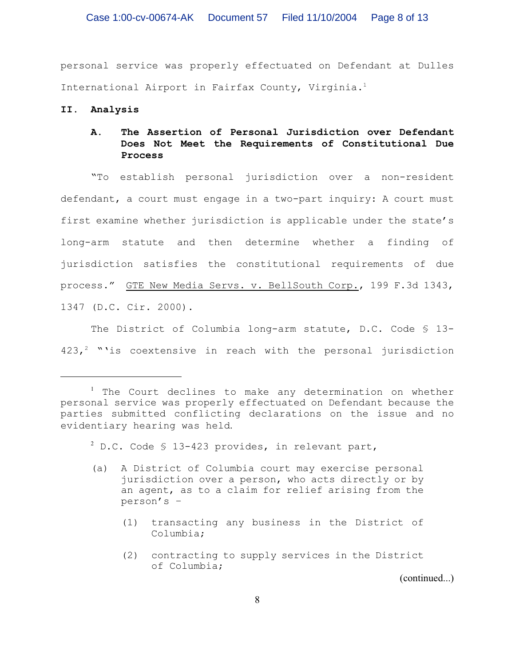personal service was properly effectuated on Defendant at Dulles International Airport in Fairfax County, Virginia.<sup>1</sup>

#### **II. Analysis**

# **A. The Assertion of Personal Jurisdiction over Defendant Does Not Meet the Requirements of Constitutional Due Process**

"To establish personal jurisdiction over a non-resident defendant, a court must engage in a two-part inquiry: A court must first examine whether jurisdiction is applicable under the state's long-arm statute and then determine whether a finding of jurisdiction satisfies the constitutional requirements of due process." GTE New Media Servs. v. BellSouth Corp., 199 F.3d 1343, 1347 (D.C. Cir. 2000).

The District of Columbia long-arm statute, D.C. Code § 13- $423,$ <sup>2</sup> "'is coextensive in reach with the personal jurisdiction

 $2^{2}$  D.C. Code § 13-423 provides, in relevant part,

- (a) A District of Columbia court may exercise personal jurisdiction over a person, who acts directly or by an agent, as to a claim for relief arising from the person's –
	- (1) transacting any business in the District of Columbia;
	- (2) contracting to supply services in the District of Columbia;

(continued...)

 $1$  The Court declines to make any determination on whether personal service was properly effectuated on Defendant because the parties submitted conflicting declarations on the issue and no evidentiary hearing was held.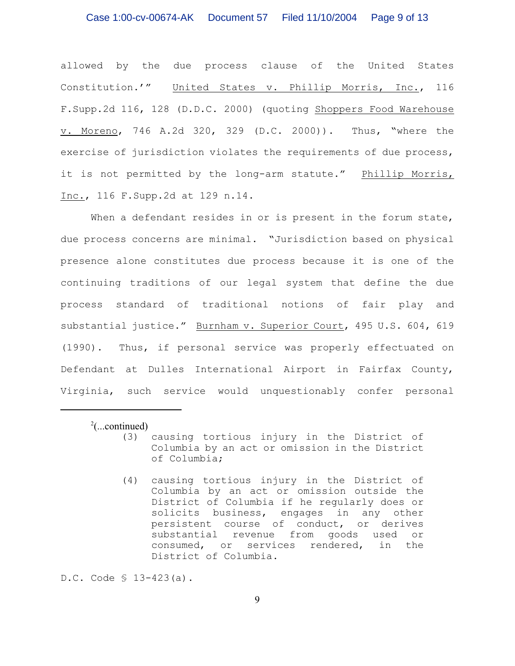allowed by the due process clause of the United States Constitution.'" United States v. Phillip Morris, Inc., 116 F.Supp.2d 116, 128 (D.D.C. 2000) (quoting Shoppers Food Warehouse v. Moreno, 746 A.2d 320, 329 (D.C. 2000)). Thus, "where the exercise of jurisdiction violates the requirements of due process, it is not permitted by the long-arm statute." Phillip Morris, Inc., 116 F.Supp.2d at 129 n.14.

When a defendant resides in or is present in the forum state, due process concerns are minimal. "Jurisdiction based on physical presence alone constitutes due process because it is one of the continuing traditions of our legal system that define the due process standard of traditional notions of fair play and substantial justice." Burnham v. Superior Court, 495 U.S. 604, 619 (1990). Thus, if personal service was properly effectuated on Defendant at Dulles International Airport in Fairfax County, Virginia, such service would unquestionably confer personal

 $\frac{2}{2}$ (...continued)

- (3) causing tortious injury in the District of Columbia by an act or omission in the District of Columbia;
	- (4) causing tortious injury in the District of Columbia by an act or omission outside the District of Columbia if he regularly does or solicits business, engages in any other persistent course of conduct, or derives substantial revenue from goods used or consumed, or services rendered, in the District of Columbia.

D.C. Code § 13-423(a).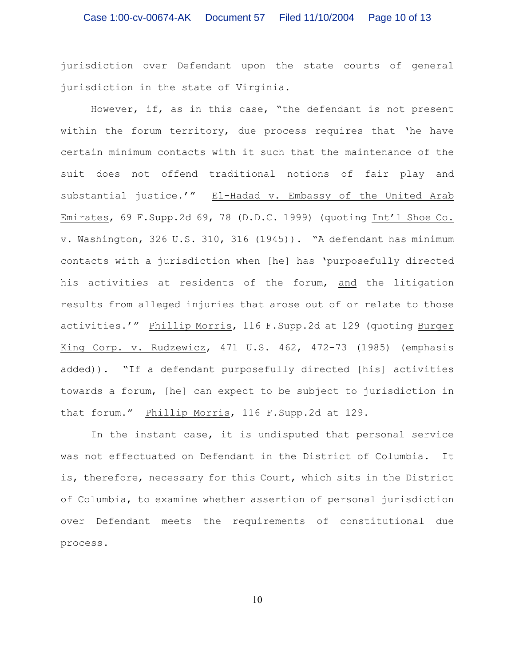jurisdiction over Defendant upon the state courts of general jurisdiction in the state of Virginia.

However, if, as in this case, "the defendant is not present within the forum territory, due process requires that 'he have certain minimum contacts with it such that the maintenance of the suit does not offend traditional notions of fair play and substantial justice.'" El-Hadad v. Embassy of the United Arab Emirates, 69 F.Supp.2d 69, 78 (D.D.C. 1999) (quoting Int'l Shoe Co. v. Washington, 326 U.S. 310, 316 (1945)). "A defendant has minimum contacts with a jurisdiction when [he] has 'purposefully directed his activities at residents of the forum, and the litigation results from alleged injuries that arose out of or relate to those activities.'" Phillip Morris, 116 F.Supp.2d at 129 (quoting Burger King Corp. v. Rudzewicz, 471 U.S. 462, 472-73 (1985) (emphasis added)). "If a defendant purposefully directed [his] activities towards a forum, [he] can expect to be subject to jurisdiction in that forum." Phillip Morris, 116 F.Supp.2d at 129.

In the instant case, it is undisputed that personal service was not effectuated on Defendant in the District of Columbia. It is, therefore, necessary for this Court, which sits in the District of Columbia, to examine whether assertion of personal jurisdiction over Defendant meets the requirements of constitutional due process.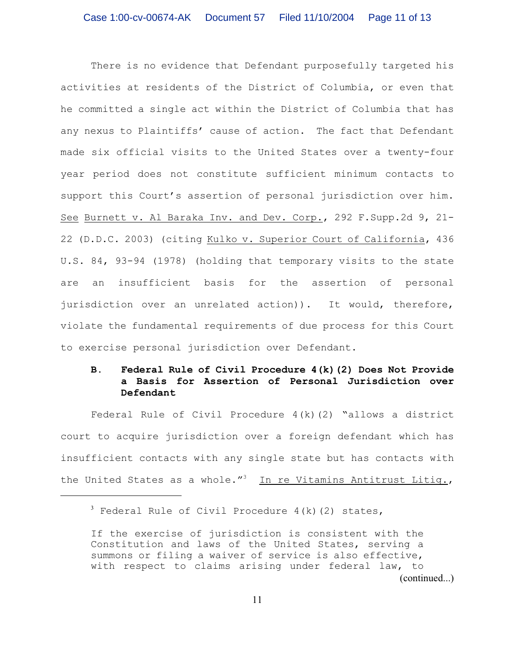There is no evidence that Defendant purposefully targeted his activities at residents of the District of Columbia, or even that he committed a single act within the District of Columbia that has any nexus to Plaintiffs' cause of action. The fact that Defendant made six official visits to the United States over a twenty-four year period does not constitute sufficient minimum contacts to support this Court's assertion of personal jurisdiction over him. See Burnett v. Al Baraka Inv. and Dev. Corp., 292 F.Supp.2d 9, 21- 22 (D.D.C. 2003) (citing Kulko v. Superior Court of California, 436 U.S. 84, 93-94 (1978) (holding that temporary visits to the state are an insufficient basis for the assertion of personal jurisdiction over an unrelated action)). It would, therefore, violate the fundamental requirements of due process for this Court to exercise personal jurisdiction over Defendant.

### **B. Federal Rule of Civil Procedure 4(k)(2) Does Not Provide a Basis for Assertion of Personal Jurisdiction over Defendant**

Federal Rule of Civil Procedure 4(k)(2) "allows a district court to acquire jurisdiction over a foreign defendant which has insufficient contacts with any single state but has contacts with the United States as a whole."<sup>3</sup> In re Vitamins Antitrust Litiq.,

 $3$  Federal Rule of Civil Procedure 4(k)(2) states,

If the exercise of jurisdiction is consistent with the Constitution and laws of the United States, serving a summons or filing a waiver of service is also effective, with respect to claims arising under federal law, to (continued...)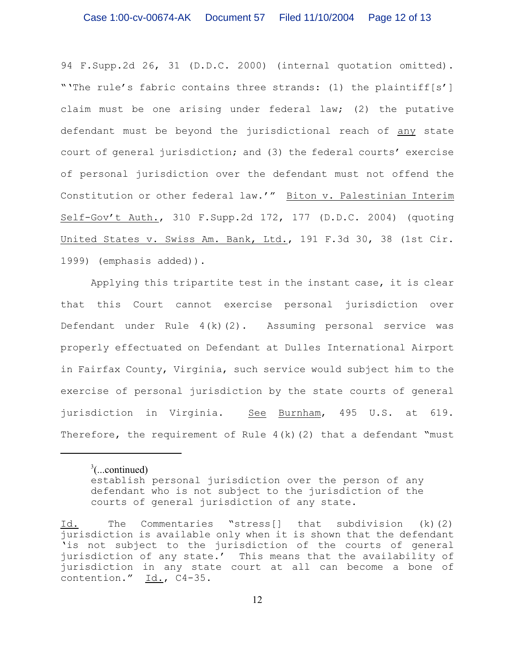94 F.Supp.2d 26, 31 (D.D.C. 2000) (internal quotation omitted). "'The rule's fabric contains three strands: (1) the plaintiff[s'] claim must be one arising under federal law; (2) the putative defendant must be beyond the jurisdictional reach of any state court of general jurisdiction; and (3) the federal courts' exercise of personal jurisdiction over the defendant must not offend the Constitution or other federal law.'" Biton v. Palestinian Interim Self-Gov't Auth., 310 F.Supp.2d 172, 177 (D.D.C. 2004) (quoting United States v. Swiss Am. Bank, Ltd., 191 F.3d 30, 38 (1st Cir. 1999) (emphasis added)).

Applying this tripartite test in the instant case, it is clear that this Court cannot exercise personal jurisdiction over Defendant under Rule  $4(k)(2)$ . Assuming personal service was properly effectuated on Defendant at Dulles International Airport in Fairfax County, Virginia, such service would subject him to the exercise of personal jurisdiction by the state courts of general jurisdiction in Virginia. See Burnham, 495 U.S. at 619. Therefore, the requirement of Rule  $4(k)(2)$  that a defendant "must

 $3$ (...continued) establish personal jurisdiction over the person of any defendant who is not subject to the jurisdiction of the courts of general jurisdiction of any state.

Id. The Commentaries "stress[] that subdivision (k)(2) jurisdiction is available only when it is shown that the defendant 'is not subject to the jurisdiction of the courts of general jurisdiction of any state.' This means that the availability of jurisdiction in any state court at all can become a bone of contention." Id., C4-35.